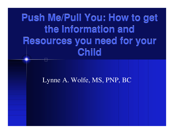# **Push Me/Pull You: How to get Push Me/Pull You: How to get the Information and the Information and Resources you need for your Resources you need for your Child Child**

Lynne A. Wolfe, MS, PNP, BC

÷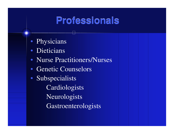### **Professionals**

- Physicians
- Dieticians
- Nurse Practitioners/Nurses
- Genetic Counselors
- Subspecialists **Cardiologists** Neurologists Gastroenterologists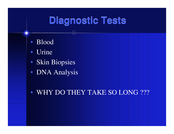## **Diagnostic Tests**

- Blood
- •• Urine
- Skin Biopsies
- DNA Analysis
- WHY DO THEY TAKE SO LONG ???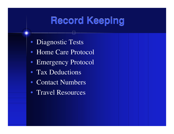## **Record Keeping**

- Diagnostic Tests
- Home Care Protocol
- Emergency Protocol
- Tax Deductions
- Contact Numbers
- Travel Resources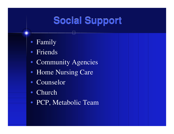## **Social Support**

- Family
- Friends
- Community Agencies
- Home Nursing Care
- Counselor
- •Church
- PCP, Metabolic Team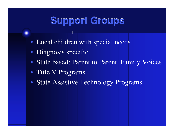# **Support Groups**

- Local children with special needs
- Diagnosis specific
- State based; Parent to Parent, Family Voices
- Title V Programs
- State Assistive Technology Programs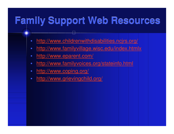## **Family Support Web Resources**

- •http://www.childrenwithdisabilities.ncjrs.org/
- •http://www.familyvillage.wisc.edu/index.htmlx
- •http://www.eparent.com/
- •http://www.familyvoices.org/stateinfo.html
- •http://www.coping.org/
- •http://www.grievingchild.org/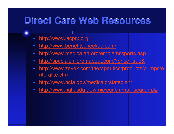## **Direct Care Web Resources**

- •http://www.iacprx.org
- •http://www.benefitscheckup.com/
- •http://www.medicalert.org/emblemssports.asp
- •http://specialchildren.about.com/?once=true&
- • http://www.zevex.com/therapeutics/products/pumps/e nteralite.cfm
- •http://www.hcfa.gov/medicaid/stateplan/
- •http://www.nal.usda.gov/fnic/cgi-bin/nut\_search.pl#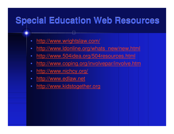#### **Special Education Web Resources**

- •http://www.wrightslaw.com/
- •http://www.ldonline.org/whats\_new/new.html
- •http://www.504idea.org/504resources.html
- •http://www.coping.org/involvepar/involve.htm
- •http://www.nichcy.org/
- •http://www.edlaw.net
- •http://www.kidstogether.org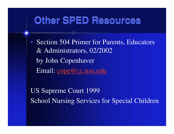#### **Other SPED Resources**

• Section 504 Primer for Parents, Educators & Administrators, 02/2002 by John Copenhaver Email: cope@cc.usu.edu

US Supreme Court 1999 School Nursing Services for Special Children